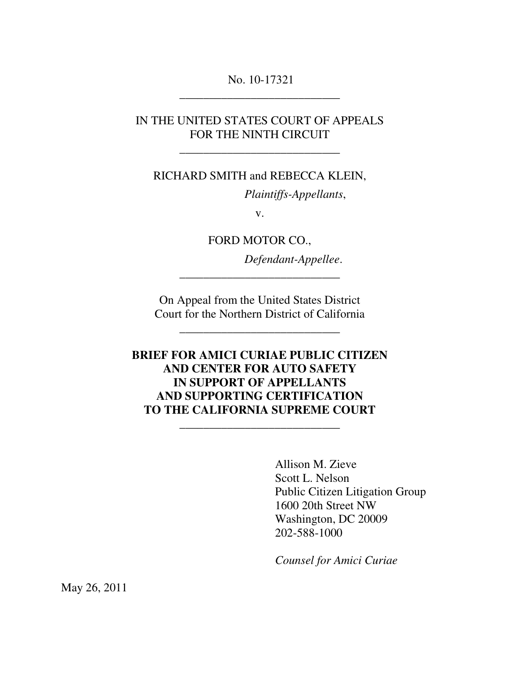## No. 10-17321 \_\_\_\_\_\_\_\_\_\_\_\_\_\_\_\_\_\_\_\_\_\_\_\_\_\_\_

## IN THE UNITED STATES COURT OF APPEALS FOR THE NINTH CIRCUIT

\_\_\_\_\_\_\_\_\_\_\_\_\_\_\_\_\_\_\_\_\_\_\_\_\_\_\_

#### RICHARD SMITH and REBECCA KLEIN,

*Plaintiffs-Appellants*,

v.

FORD MOTOR CO.,

\_\_\_\_\_\_\_\_\_\_\_\_\_\_\_\_\_\_\_\_\_\_\_\_\_\_\_

*Defendant-Appellee*.

On Appeal from the United States District Court for the Northern District of California

\_\_\_\_\_\_\_\_\_\_\_\_\_\_\_\_\_\_\_\_\_\_\_\_\_\_\_

## **BRIEF FOR AMICI CURIAE PUBLIC CITIZEN AND CENTER FOR AUTO SAFETY IN SUPPORT OF APPELLANTS AND SUPPORTING CERTIFICATION TO THE CALIFORNIA SUPREME COURT**

\_\_\_\_\_\_\_\_\_\_\_\_\_\_\_\_\_\_\_\_\_\_\_\_\_\_\_

Allison M. Zieve Scott L. Nelson Public Citizen Litigation Group 1600 20th Street NW Washington, DC 20009 202-588-1000

*Counsel for Amici Curiae*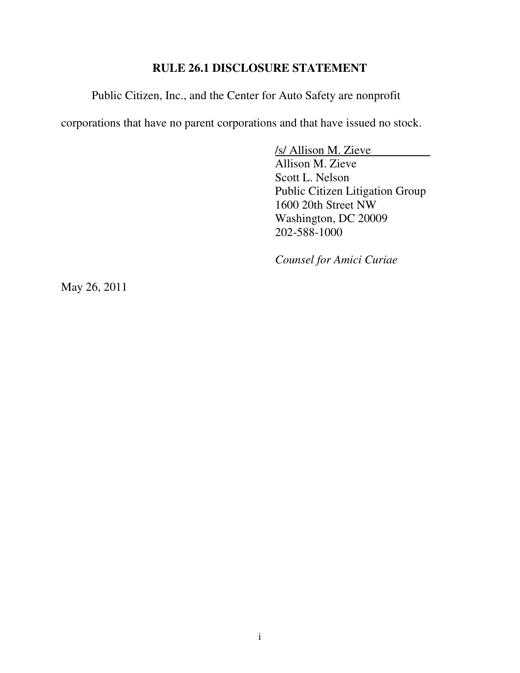## **RULE 26.1 DISCLOSURE STATEMENT**

Public Citizen, Inc., and the Center for Auto Safety are nonprofit

corporations that have no parent corporations and that have issued no stock.

/s/ Allison M. Zieve Allison M. Zieve

Scott L. Nelson Public Citizen Litigation Group 1600 20th Street NW Washington, DC 20009 202-588-1000

*Counsel for Amici Curiae*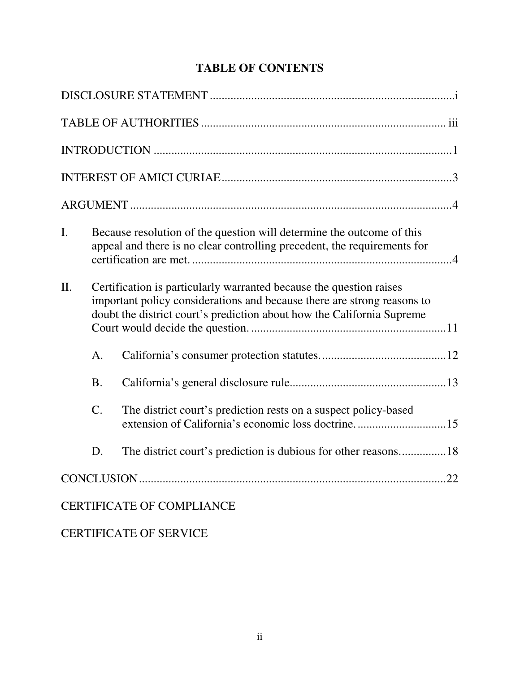# **TABLE OF CONTENTS**

| $\mathbf{I}$ . |                                                                                                                                                                                                                          | Because resolution of the question will determine the outcome of this<br>appeal and there is no clear controlling precedent, the requirements for |
|----------------|--------------------------------------------------------------------------------------------------------------------------------------------------------------------------------------------------------------------------|---------------------------------------------------------------------------------------------------------------------------------------------------|
| II.            | Certification is particularly warranted because the question raises<br>important policy considerations and because there are strong reasons to<br>doubt the district court's prediction about how the California Supreme |                                                                                                                                                   |
|                | A.                                                                                                                                                                                                                       |                                                                                                                                                   |
|                | <b>B.</b>                                                                                                                                                                                                                |                                                                                                                                                   |
|                | $\mathcal{C}$ .                                                                                                                                                                                                          | The district court's prediction rests on a suspect policy-based<br>extension of California's economic loss doctrine15                             |
|                | D.                                                                                                                                                                                                                       | The district court's prediction is dubious for other reasons18                                                                                    |
|                |                                                                                                                                                                                                                          |                                                                                                                                                   |
|                |                                                                                                                                                                                                                          | <b>CERTIFICATE OF COMPLIANCE</b>                                                                                                                  |

CERTIFICATE OF SERVICE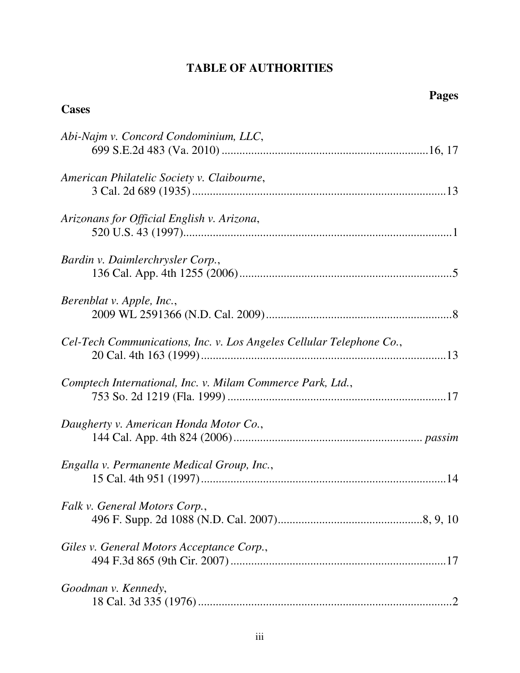## **TABLE OF AUTHORITIES**

| <b>Cases</b>                                                         |
|----------------------------------------------------------------------|
| Abi-Najm v. Concord Condominium, LLC,                                |
| American Philatelic Society v. Claibourne,                           |
| Arizonans for Official English v. Arizona,                           |
| Bardin v. Daimlerchrysler Corp.,                                     |
| Berenblat v. Apple, Inc.,                                            |
| Cel-Tech Communications, Inc. v. Los Angeles Cellular Telephone Co., |
| Comptech International, Inc. v. Milam Commerce Park, Ltd.,           |
| Daugherty v. American Honda Motor Co.,                               |
| Engalla v. Permanente Medical Group, Inc.,                           |
| Falk v. General Motors Corp.,                                        |
| Giles v. General Motors Acceptance Corp.,                            |
| Goodman v. Kennedy,                                                  |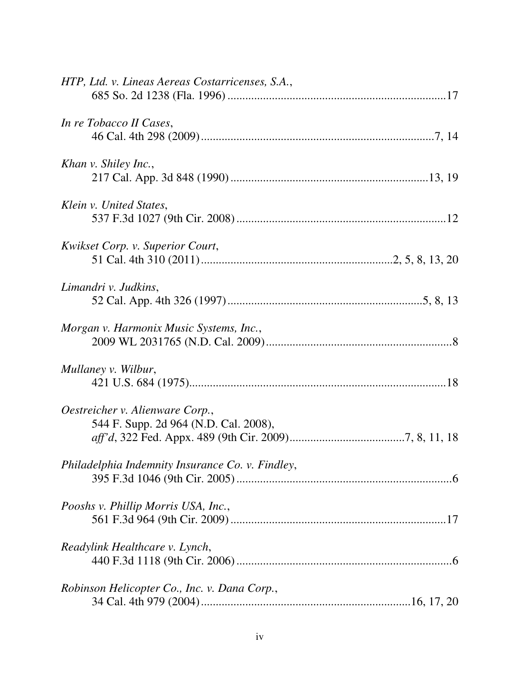| HTP, Ltd. v. Lineas Aereas Costarricenses, S.A.,                         |
|--------------------------------------------------------------------------|
| In re Tobacco II Cases,                                                  |
| Khan v. Shiley Inc.,                                                     |
| Klein v. United States,                                                  |
| Kwikset Corp. v. Superior Court,                                         |
| Limandri v. Judkins,                                                     |
| Morgan v. Harmonix Music Systems, Inc.,                                  |
| Mullaney v. Wilbur,                                                      |
| Oestreicher v. Alienware Corp.,<br>544 F. Supp. 2d 964 (N.D. Cal. 2008), |
| Philadelphia Indemnity Insurance Co. v. Findley,                         |
| Pooshs v. Phillip Morris USA, Inc.,                                      |
| Readylink Healthcare v. Lynch,                                           |
| Robinson Helicopter Co., Inc. v. Dana Corp.,                             |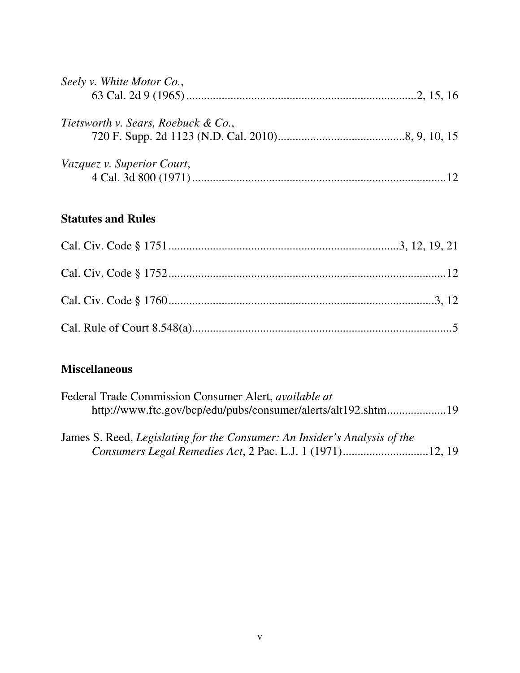| Seely v. White Motor Co.,           |  |
|-------------------------------------|--|
|                                     |  |
| Tietsworth v. Sears, Roebuck & Co., |  |
|                                     |  |
|                                     |  |
| Vazquez v. Superior Court,          |  |
|                                     |  |

## **Statutes and Rules**

# **Miscellaneous**

| Federal Trade Commission Consumer Alert, <i>available at</i>              |  |
|---------------------------------------------------------------------------|--|
| http://www.ftc.gov/bcp/edu/pubs/consumer/alerts/alt192.shtm19             |  |
| James S. Reed, Legislating for the Consumer: An Insider's Analysis of the |  |

*Consumers Legal Remedies Act*, 2 Pac. L.J. 1 (1971).............................12, 19

v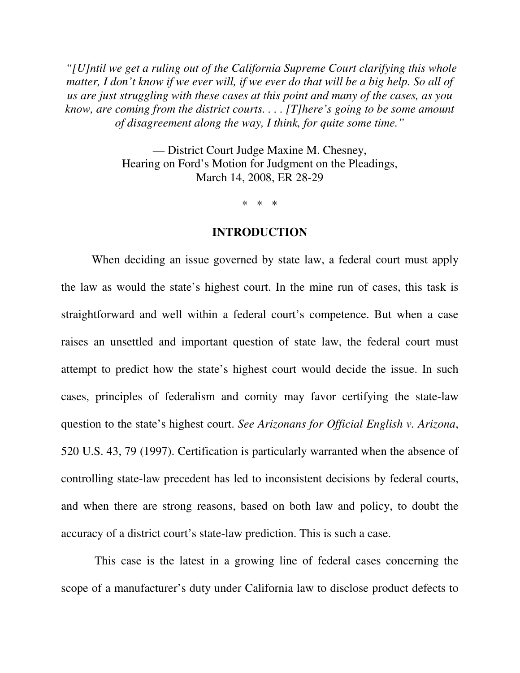*"[U]ntil we get a ruling out of the California Supreme Court clarifying this whole matter, I don't know if we ever will, if we ever do that will be a big help. So all of us are just struggling with these cases at this point and many of the cases, as you know, are coming from the district courts. . . . [T]here's going to be some amount of disagreement along the way, I think, for quite some time."*

> — District Court Judge Maxine M. Chesney, Hearing on Ford's Motion for Judgment on the Pleadings, March 14, 2008, ER 28-29

> > \* \* \*

#### **INTRODUCTION**

When deciding an issue governed by state law, a federal court must apply the law as would the state's highest court. In the mine run of cases, this task is straightforward and well within a federal court's competence. But when a case raises an unsettled and important question of state law, the federal court must attempt to predict how the state's highest court would decide the issue. In such cases, principles of federalism and comity may favor certifying the state-law question to the state's highest court. *See Arizonans for Official English v. Arizona*, 520 U.S. 43, 79 (1997). Certification is particularly warranted when the absence of controlling state-law precedent has led to inconsistent decisions by federal courts, and when there are strong reasons, based on both law and policy, to doubt the accuracy of a district court's state-law prediction. This is such a case.

 This case is the latest in a growing line of federal cases concerning the scope of a manufacturer's duty under California law to disclose product defects to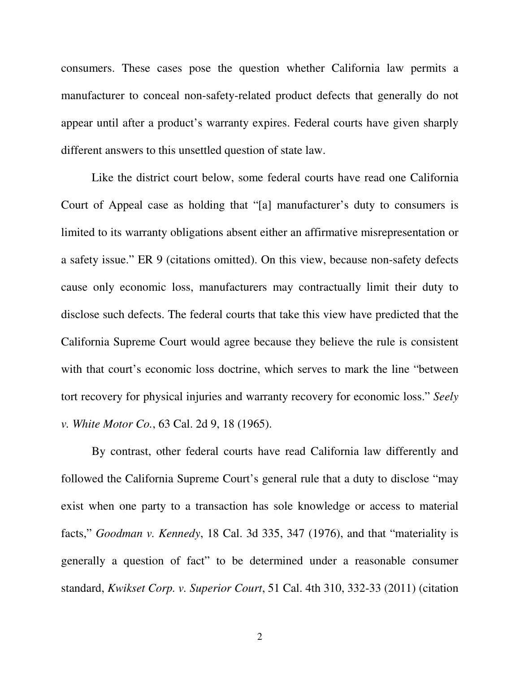consumers. These cases pose the question whether California law permits a manufacturer to conceal non-safety-related product defects that generally do not appear until after a product's warranty expires. Federal courts have given sharply different answers to this unsettled question of state law.

Like the district court below, some federal courts have read one California Court of Appeal case as holding that "[a] manufacturer's duty to consumers is limited to its warranty obligations absent either an affirmative misrepresentation or a safety issue." ER 9 (citations omitted). On this view, because non-safety defects cause only economic loss, manufacturers may contractually limit their duty to disclose such defects. The federal courts that take this view have predicted that the California Supreme Court would agree because they believe the rule is consistent with that court's economic loss doctrine, which serves to mark the line "between tort recovery for physical injuries and warranty recovery for economic loss." *Seely v. White Motor Co.*, 63 Cal. 2d 9, 18 (1965).

By contrast, other federal courts have read California law differently and followed the California Supreme Court's general rule that a duty to disclose "may exist when one party to a transaction has sole knowledge or access to material facts," *Goodman v. Kennedy*, 18 Cal. 3d 335, 347 (1976), and that "materiality is generally a question of fact" to be determined under a reasonable consumer standard, *Kwikset Corp. v. Superior Court*, 51 Cal. 4th 310, 332-33 (2011) (citation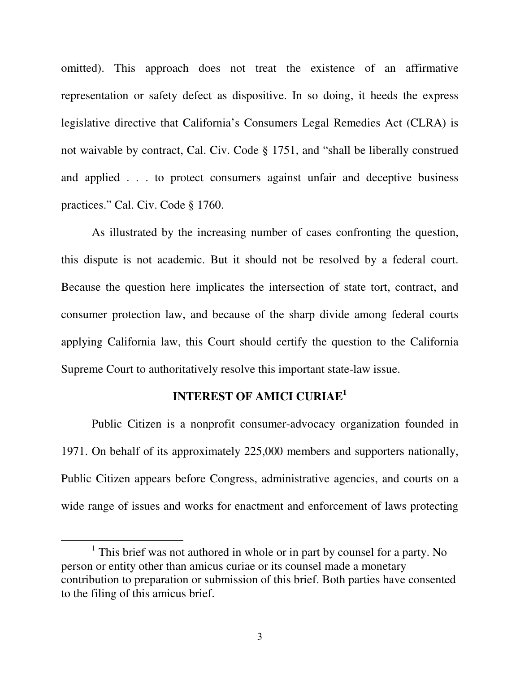omitted). This approach does not treat the existence of an affirmative representation or safety defect as dispositive. In so doing, it heeds the express legislative directive that California's Consumers Legal Remedies Act (CLRA) is not waivable by contract, Cal. Civ. Code § 1751, and "shall be liberally construed and applied . . . to protect consumers against unfair and deceptive business practices." Cal. Civ. Code § 1760.

As illustrated by the increasing number of cases confronting the question, this dispute is not academic. But it should not be resolved by a federal court. Because the question here implicates the intersection of state tort, contract, and consumer protection law, and because of the sharp divide among federal courts applying California law, this Court should certify the question to the California Supreme Court to authoritatively resolve this important state-law issue.

### **INTEREST OF AMICI CURIAE<sup>1</sup>**

Public Citizen is a nonprofit consumer-advocacy organization founded in 1971. On behalf of its approximately 225,000 members and supporters nationally, Public Citizen appears before Congress, administrative agencies, and courts on a wide range of issues and works for enactment and enforcement of laws protecting

 $\overline{a}$ 

<sup>&</sup>lt;sup>1</sup> This brief was not authored in whole or in part by counsel for a party. No person or entity other than amicus curiae or its counsel made a monetary contribution to preparation or submission of this brief. Both parties have consented to the filing of this amicus brief.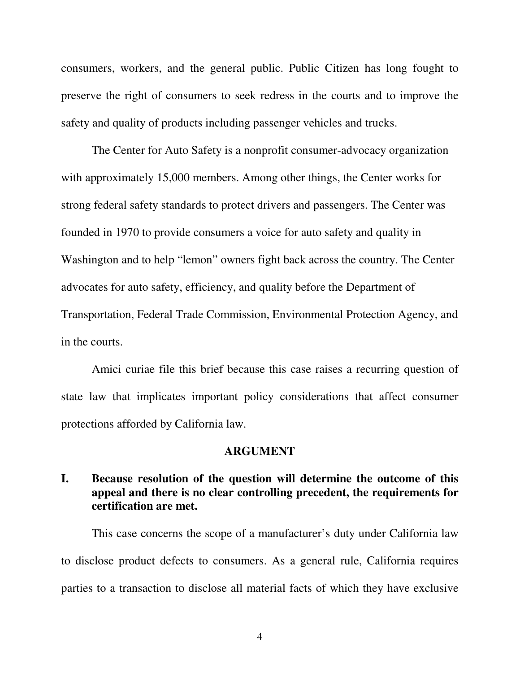consumers, workers, and the general public. Public Citizen has long fought to preserve the right of consumers to seek redress in the courts and to improve the safety and quality of products including passenger vehicles and trucks.

The Center for Auto Safety is a nonprofit consumer-advocacy organization with approximately 15,000 members. Among other things, the Center works for strong federal safety standards to protect drivers and passengers. The Center was founded in 1970 to provide consumers a voice for auto safety and quality in Washington and to help "lemon" owners fight back across the country. The Center advocates for auto safety, efficiency, and quality before the Department of Transportation, Federal Trade Commission, Environmental Protection Agency, and in the courts.

Amici curiae file this brief because this case raises a recurring question of state law that implicates important policy considerations that affect consumer protections afforded by California law.

#### **ARGUMENT**

## **I. Because resolution of the question will determine the outcome of this appeal and there is no clear controlling precedent, the requirements for certification are met.**

This case concerns the scope of a manufacturer's duty under California law to disclose product defects to consumers. As a general rule, California requires parties to a transaction to disclose all material facts of which they have exclusive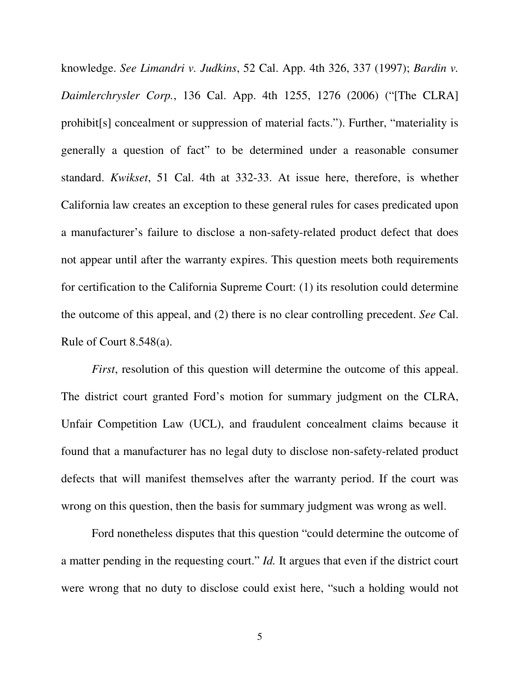knowledge. *See Limandri v. Judkins*, 52 Cal. App. 4th 326, 337 (1997); *Bardin v. Daimlerchrysler Corp.*, 136 Cal. App. 4th 1255, 1276 (2006) ("[The CLRA] prohibit[s] concealment or suppression of material facts."). Further, "materiality is generally a question of fact" to be determined under a reasonable consumer standard. *Kwikset*, 51 Cal. 4th at 332-33. At issue here, therefore, is whether California law creates an exception to these general rules for cases predicated upon a manufacturer's failure to disclose a non-safety-related product defect that does not appear until after the warranty expires. This question meets both requirements for certification to the California Supreme Court: (1) its resolution could determine the outcome of this appeal, and (2) there is no clear controlling precedent. *See* Cal. Rule of Court 8.548(a).

*First*, resolution of this question will determine the outcome of this appeal. The district court granted Ford's motion for summary judgment on the CLRA, Unfair Competition Law (UCL), and fraudulent concealment claims because it found that a manufacturer has no legal duty to disclose non-safety-related product defects that will manifest themselves after the warranty period. If the court was wrong on this question, then the basis for summary judgment was wrong as well.

Ford nonetheless disputes that this question "could determine the outcome of a matter pending in the requesting court." *Id.* It argues that even if the district court were wrong that no duty to disclose could exist here, "such a holding would not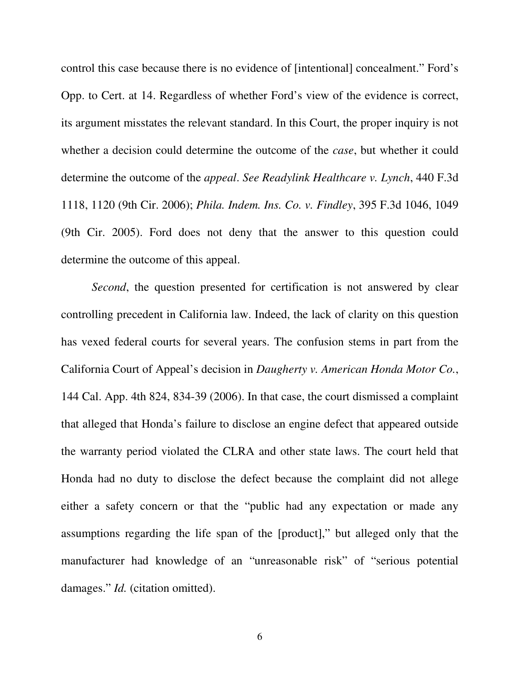control this case because there is no evidence of [intentional] concealment." Ford's Opp. to Cert. at 14. Regardless of whether Ford's view of the evidence is correct, its argument misstates the relevant standard. In this Court, the proper inquiry is not whether a decision could determine the outcome of the *case*, but whether it could determine the outcome of the *appeal*. *See Readylink Healthcare v. Lynch*, 440 F.3d 1118, 1120 (9th Cir. 2006); *Phila. Indem. Ins. Co. v. Findley*, 395 F.3d 1046, 1049 (9th Cir. 2005). Ford does not deny that the answer to this question could determine the outcome of this appeal.

*Second*, the question presented for certification is not answered by clear controlling precedent in California law. Indeed, the lack of clarity on this question has vexed federal courts for several years. The confusion stems in part from the California Court of Appeal's decision in *Daugherty v. American Honda Motor Co.*, 144 Cal. App. 4th 824, 834-39 (2006). In that case, the court dismissed a complaint that alleged that Honda's failure to disclose an engine defect that appeared outside the warranty period violated the CLRA and other state laws. The court held that Honda had no duty to disclose the defect because the complaint did not allege either a safety concern or that the "public had any expectation or made any assumptions regarding the life span of the [product]," but alleged only that the manufacturer had knowledge of an "unreasonable risk" of "serious potential damages." *Id.* (citation omitted).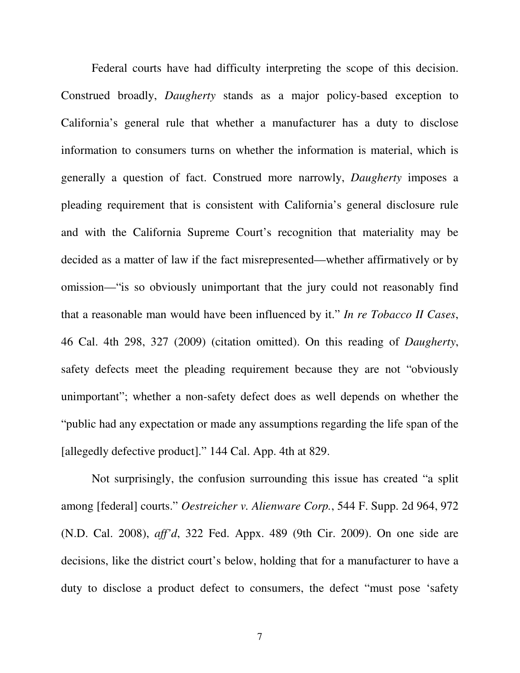Federal courts have had difficulty interpreting the scope of this decision. Construed broadly, *Daugherty* stands as a major policy-based exception to California's general rule that whether a manufacturer has a duty to disclose information to consumers turns on whether the information is material, which is generally a question of fact. Construed more narrowly, *Daugherty* imposes a pleading requirement that is consistent with California's general disclosure rule and with the California Supreme Court's recognition that materiality may be decided as a matter of law if the fact misrepresented—whether affirmatively or by omission—"is so obviously unimportant that the jury could not reasonably find that a reasonable man would have been influenced by it." *In re Tobacco II Cases*, 46 Cal. 4th 298, 327 (2009) (citation omitted). On this reading of *Daugherty*, safety defects meet the pleading requirement because they are not "obviously unimportant"; whether a non-safety defect does as well depends on whether the "public had any expectation or made any assumptions regarding the life span of the [allegedly defective product]." 144 Cal. App. 4th at 829.

Not surprisingly, the confusion surrounding this issue has created "a split among [federal] courts." *Oestreicher v. Alienware Corp.*, 544 F. Supp. 2d 964, 972 (N.D. Cal. 2008), *aff'd*, 322 Fed. Appx. 489 (9th Cir. 2009). On one side are decisions, like the district court's below, holding that for a manufacturer to have a duty to disclose a product defect to consumers, the defect "must pose 'safety

7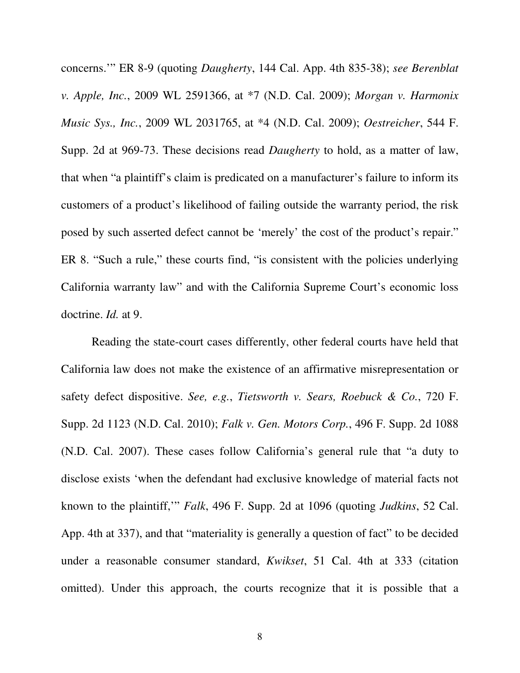concerns.'" ER 8-9 (quoting *Daugherty*, 144 Cal. App. 4th 835-38); *see Berenblat v. Apple, Inc.*, 2009 WL 2591366, at \*7 (N.D. Cal. 2009); *Morgan v. Harmonix Music Sys., Inc.*, 2009 WL 2031765, at \*4 (N.D. Cal. 2009); *Oestreicher*, 544 F. Supp. 2d at 969-73. These decisions read *Daugherty* to hold, as a matter of law, that when "a plaintiff's claim is predicated on a manufacturer's failure to inform its customers of a product's likelihood of failing outside the warranty period, the risk posed by such asserted defect cannot be 'merely' the cost of the product's repair." ER 8. "Such a rule," these courts find, "is consistent with the policies underlying California warranty law" and with the California Supreme Court's economic loss doctrine. *Id.* at 9.

 Reading the state-court cases differently, other federal courts have held that California law does not make the existence of an affirmative misrepresentation or safety defect dispositive. *See, e.g.*, *Tietsworth v. Sears, Roebuck & Co.*, 720 F. Supp. 2d 1123 (N.D. Cal. 2010); *Falk v. Gen. Motors Corp.*, 496 F. Supp. 2d 1088 (N.D. Cal. 2007). These cases follow California's general rule that "a duty to disclose exists 'when the defendant had exclusive knowledge of material facts not known to the plaintiff,'" *Falk*, 496 F. Supp. 2d at 1096 (quoting *Judkins*, 52 Cal. App. 4th at 337), and that "materiality is generally a question of fact" to be decided under a reasonable consumer standard, *Kwikset*, 51 Cal. 4th at 333 (citation omitted). Under this approach, the courts recognize that it is possible that a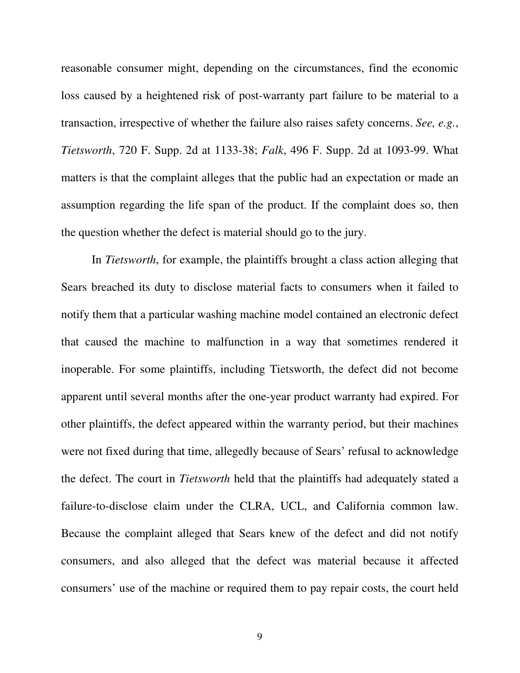reasonable consumer might, depending on the circumstances, find the economic loss caused by a heightened risk of post-warranty part failure to be material to a transaction, irrespective of whether the failure also raises safety concerns. *See, e.g.*, *Tietsworth*, 720 F. Supp. 2d at 1133-38; *Falk*, 496 F. Supp. 2d at 1093-99. What matters is that the complaint alleges that the public had an expectation or made an assumption regarding the life span of the product. If the complaint does so, then the question whether the defect is material should go to the jury.

In *Tietsworth*, for example, the plaintiffs brought a class action alleging that Sears breached its duty to disclose material facts to consumers when it failed to notify them that a particular washing machine model contained an electronic defect that caused the machine to malfunction in a way that sometimes rendered it inoperable. For some plaintiffs, including Tietsworth, the defect did not become apparent until several months after the one-year product warranty had expired. For other plaintiffs, the defect appeared within the warranty period, but their machines were not fixed during that time, allegedly because of Sears' refusal to acknowledge the defect. The court in *Tietsworth* held that the plaintiffs had adequately stated a failure-to-disclose claim under the CLRA, UCL, and California common law. Because the complaint alleged that Sears knew of the defect and did not notify consumers, and also alleged that the defect was material because it affected consumers' use of the machine or required them to pay repair costs, the court held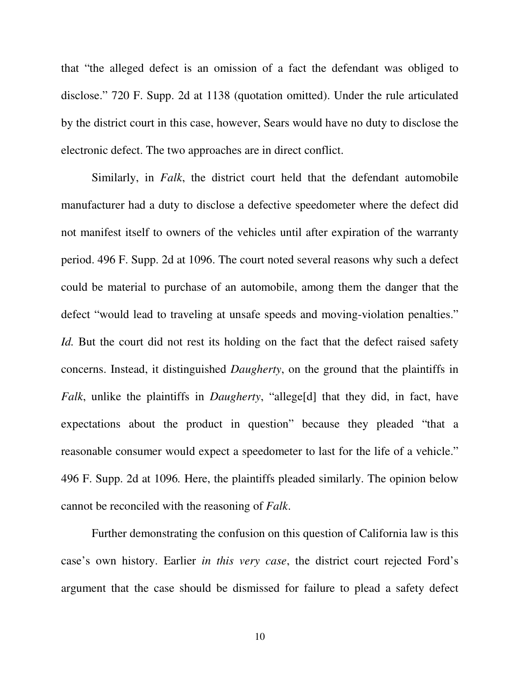that "the alleged defect is an omission of a fact the defendant was obliged to disclose." 720 F. Supp. 2d at 1138 (quotation omitted). Under the rule articulated by the district court in this case, however, Sears would have no duty to disclose the electronic defect. The two approaches are in direct conflict.

Similarly, in *Falk*, the district court held that the defendant automobile manufacturer had a duty to disclose a defective speedometer where the defect did not manifest itself to owners of the vehicles until after expiration of the warranty period. 496 F. Supp. 2d at 1096. The court noted several reasons why such a defect could be material to purchase of an automobile, among them the danger that the defect "would lead to traveling at unsafe speeds and moving-violation penalties." *Id.* But the court did not rest its holding on the fact that the defect raised safety concerns. Instead, it distinguished *Daugherty*, on the ground that the plaintiffs in *Falk*, unlike the plaintiffs in *Daugherty*, "allege[d] that they did, in fact, have expectations about the product in question" because they pleaded "that a reasonable consumer would expect a speedometer to last for the life of a vehicle." 496 F. Supp. 2d at 1096*.* Here, the plaintiffs pleaded similarly. The opinion below cannot be reconciled with the reasoning of *Falk*.

Further demonstrating the confusion on this question of California law is this case's own history. Earlier *in this very case*, the district court rejected Ford's argument that the case should be dismissed for failure to plead a safety defect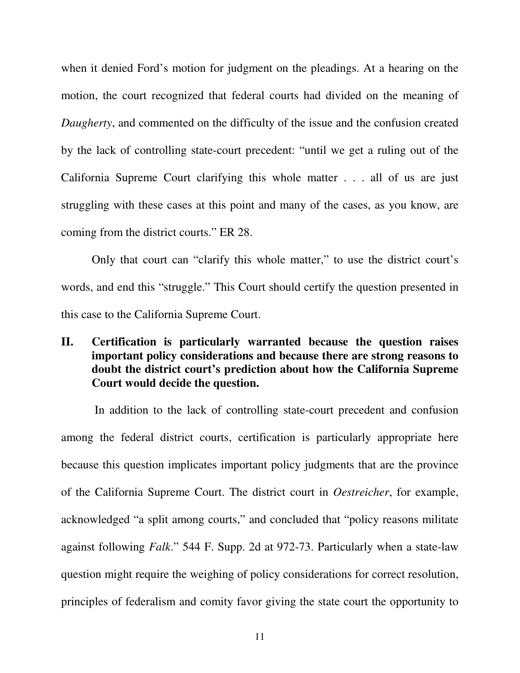when it denied Ford's motion for judgment on the pleadings. At a hearing on the motion, the court recognized that federal courts had divided on the meaning of *Daugherty*, and commented on the difficulty of the issue and the confusion created by the lack of controlling state-court precedent: "until we get a ruling out of the California Supreme Court clarifying this whole matter . . . all of us are just struggling with these cases at this point and many of the cases, as you know, are coming from the district courts." ER 28.

Only that court can "clarify this whole matter," to use the district court's words, and end this "struggle." This Court should certify the question presented in this case to the California Supreme Court.

## **II. Certification is particularly warranted because the question raises important policy considerations and because there are strong reasons to doubt the district court's prediction about how the California Supreme Court would decide the question.**

 In addition to the lack of controlling state-court precedent and confusion among the federal district courts, certification is particularly appropriate here because this question implicates important policy judgments that are the province of the California Supreme Court. The district court in *Oestreicher*, for example, acknowledged "a split among courts," and concluded that "policy reasons militate against following *Falk*." 544 F. Supp. 2d at 972-73. Particularly when a state-law question might require the weighing of policy considerations for correct resolution, principles of federalism and comity favor giving the state court the opportunity to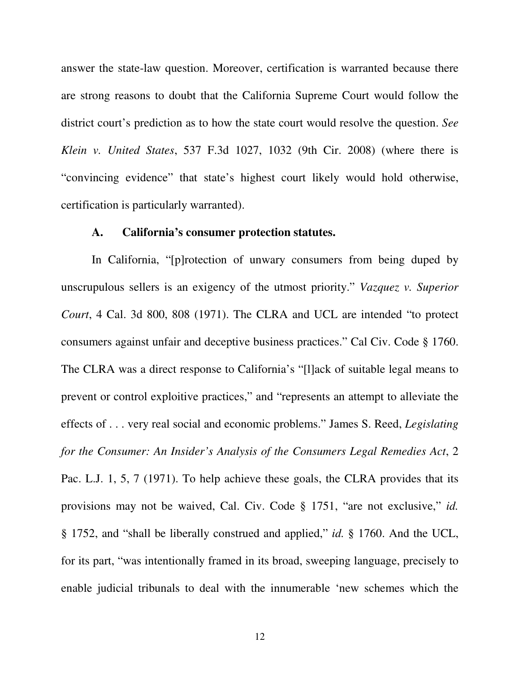answer the state-law question. Moreover, certification is warranted because there are strong reasons to doubt that the California Supreme Court would follow the district court's prediction as to how the state court would resolve the question. *See Klein v. United States*, 537 F.3d 1027, 1032 (9th Cir. 2008) (where there is "convincing evidence" that state's highest court likely would hold otherwise, certification is particularly warranted).

## **A. California's consumer protection statutes.**

In California, "[p]rotection of unwary consumers from being duped by unscrupulous sellers is an exigency of the utmost priority." *Vazquez v. Superior Court*, 4 Cal. 3d 800, 808 (1971). The CLRA and UCL are intended "to protect consumers against unfair and deceptive business practices." Cal Civ. Code § 1760. The CLRA was a direct response to California's "[l]ack of suitable legal means to prevent or control exploitive practices," and "represents an attempt to alleviate the effects of . . . very real social and economic problems." James S. Reed, *Legislating for the Consumer: An Insider's Analysis of the Consumers Legal Remedies Act*, 2 Pac. L.J. 1, 5, 7 (1971). To help achieve these goals, the CLRA provides that its provisions may not be waived, Cal. Civ. Code § 1751, "are not exclusive," *id.* § 1752, and "shall be liberally construed and applied," *id.* § 1760. And the UCL, for its part, "was intentionally framed in its broad, sweeping language, precisely to enable judicial tribunals to deal with the innumerable 'new schemes which the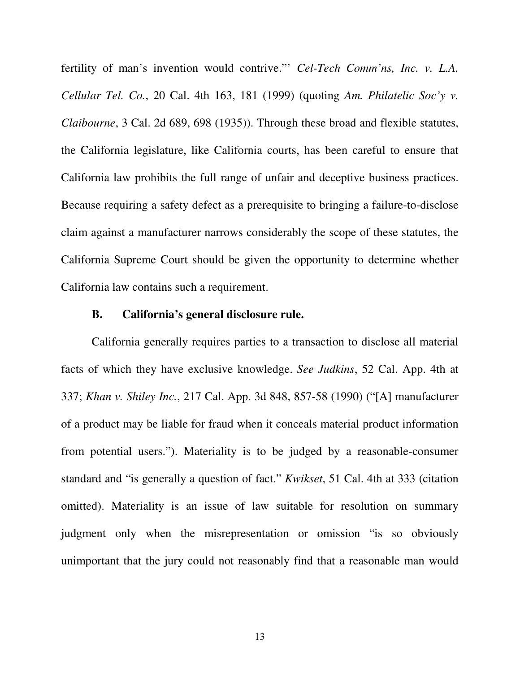fertility of man's invention would contrive."' *Cel-Tech Comm'ns, Inc. v. L.A. Cellular Tel. Co.*, 20 Cal. 4th 163, 181 (1999) (quoting *Am. Philatelic Soc'y v. Claibourne*, 3 Cal. 2d 689, 698 (1935)). Through these broad and flexible statutes, the California legislature, like California courts, has been careful to ensure that California law prohibits the full range of unfair and deceptive business practices. Because requiring a safety defect as a prerequisite to bringing a failure-to-disclose claim against a manufacturer narrows considerably the scope of these statutes, the California Supreme Court should be given the opportunity to determine whether California law contains such a requirement.

#### **B. California's general disclosure rule.**

California generally requires parties to a transaction to disclose all material facts of which they have exclusive knowledge. *See Judkins*, 52 Cal. App. 4th at 337; *Khan v. Shiley Inc.*, 217 Cal. App. 3d 848, 857-58 (1990) ("[A] manufacturer of a product may be liable for fraud when it conceals material product information from potential users."). Materiality is to be judged by a reasonable-consumer standard and "is generally a question of fact." *Kwikset*, 51 Cal. 4th at 333 (citation omitted). Materiality is an issue of law suitable for resolution on summary judgment only when the misrepresentation or omission "is so obviously unimportant that the jury could not reasonably find that a reasonable man would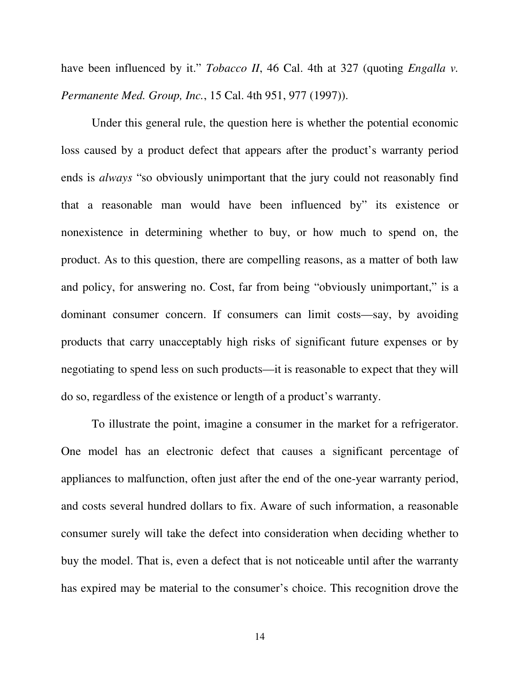have been influenced by it." *Tobacco II*, 46 Cal. 4th at 327 (quoting *Engalla v. Permanente Med. Group, Inc.*, 15 Cal. 4th 951, 977 (1997)).

Under this general rule, the question here is whether the potential economic loss caused by a product defect that appears after the product's warranty period ends is *always* "so obviously unimportant that the jury could not reasonably find that a reasonable man would have been influenced by" its existence or nonexistence in determining whether to buy, or how much to spend on, the product. As to this question, there are compelling reasons, as a matter of both law and policy, for answering no. Cost, far from being "obviously unimportant," is a dominant consumer concern. If consumers can limit costs—say, by avoiding products that carry unacceptably high risks of significant future expenses or by negotiating to spend less on such products—it is reasonable to expect that they will do so, regardless of the existence or length of a product's warranty.

To illustrate the point, imagine a consumer in the market for a refrigerator. One model has an electronic defect that causes a significant percentage of appliances to malfunction, often just after the end of the one-year warranty period, and costs several hundred dollars to fix. Aware of such information, a reasonable consumer surely will take the defect into consideration when deciding whether to buy the model. That is, even a defect that is not noticeable until after the warranty has expired may be material to the consumer's choice. This recognition drove the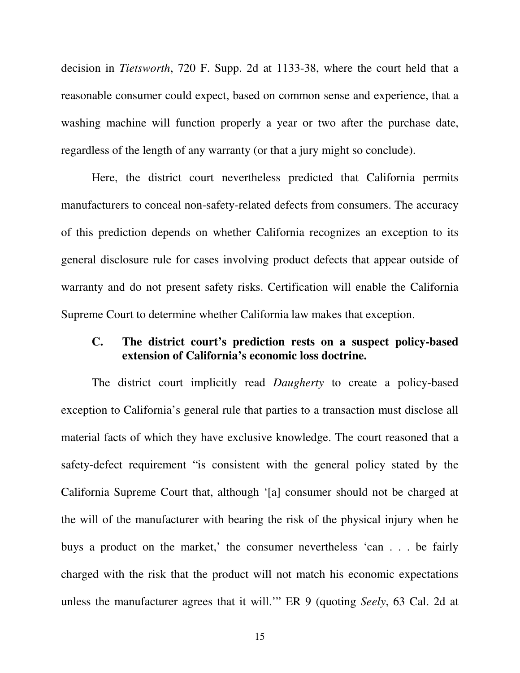decision in *Tietsworth*, 720 F. Supp. 2d at 1133-38, where the court held that a reasonable consumer could expect, based on common sense and experience, that a washing machine will function properly a year or two after the purchase date, regardless of the length of any warranty (or that a jury might so conclude).

Here, the district court nevertheless predicted that California permits manufacturers to conceal non-safety-related defects from consumers. The accuracy of this prediction depends on whether California recognizes an exception to its general disclosure rule for cases involving product defects that appear outside of warranty and do not present safety risks. Certification will enable the California Supreme Court to determine whether California law makes that exception.

### **C. The district court's prediction rests on a suspect policy-based extension of California's economic loss doctrine.**

The district court implicitly read *Daugherty* to create a policy-based exception to California's general rule that parties to a transaction must disclose all material facts of which they have exclusive knowledge. The court reasoned that a safety-defect requirement "is consistent with the general policy stated by the California Supreme Court that, although '[a] consumer should not be charged at the will of the manufacturer with bearing the risk of the physical injury when he buys a product on the market,' the consumer nevertheless 'can . . . be fairly charged with the risk that the product will not match his economic expectations unless the manufacturer agrees that it will.'" ER 9 (quoting *Seely*, 63 Cal. 2d at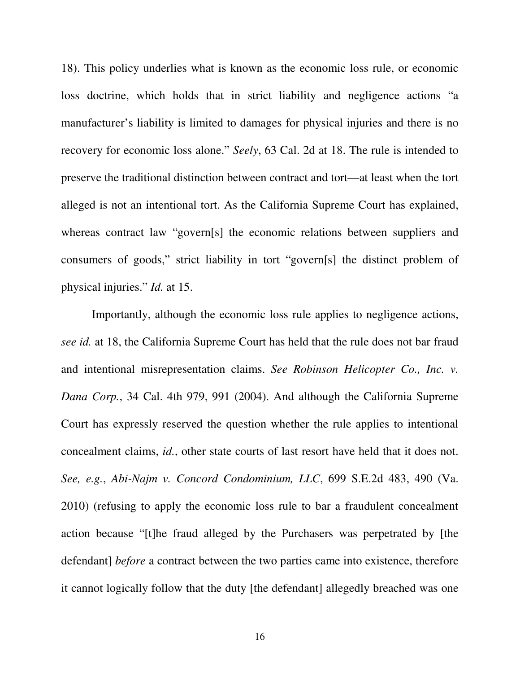18). This policy underlies what is known as the economic loss rule, or economic loss doctrine, which holds that in strict liability and negligence actions "a manufacturer's liability is limited to damages for physical injuries and there is no recovery for economic loss alone." *Seely*, 63 Cal. 2d at 18. The rule is intended to preserve the traditional distinction between contract and tort—at least when the tort alleged is not an intentional tort. As the California Supreme Court has explained, whereas contract law "govern[s] the economic relations between suppliers and consumers of goods," strict liability in tort "govern[s] the distinct problem of physical injuries." *Id.* at 15.

Importantly, although the economic loss rule applies to negligence actions, *see id.* at 18, the California Supreme Court has held that the rule does not bar fraud and intentional misrepresentation claims. *See Robinson Helicopter Co., Inc. v. Dana Corp.*, 34 Cal. 4th 979, 991 (2004). And although the California Supreme Court has expressly reserved the question whether the rule applies to intentional concealment claims, *id.*, other state courts of last resort have held that it does not. *See, e.g.*, *Abi-Najm v. Concord Condominium, LLC*, 699 S.E.2d 483, 490 (Va. 2010) (refusing to apply the economic loss rule to bar a fraudulent concealment action because "[t]he fraud alleged by the Purchasers was perpetrated by [the defendant] *before* a contract between the two parties came into existence, therefore it cannot logically follow that the duty [the defendant] allegedly breached was one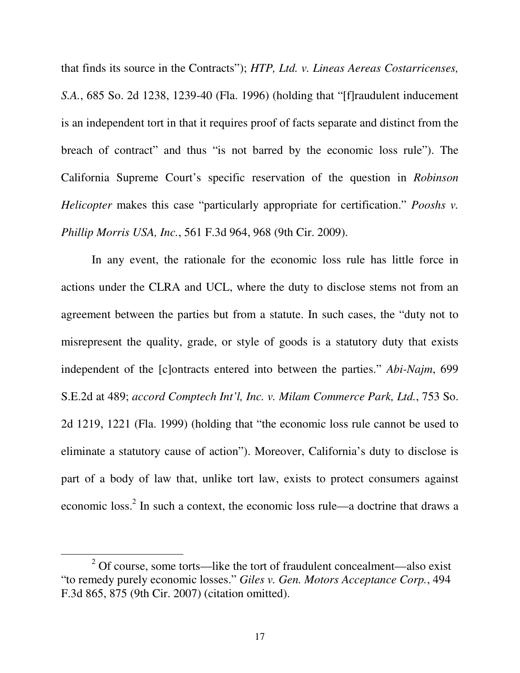that finds its source in the Contracts"); *HTP, Ltd. v. Lineas Aereas Costarricenses, S.A.*, 685 So. 2d 1238, 1239-40 (Fla. 1996) (holding that "[f]raudulent inducement is an independent tort in that it requires proof of facts separate and distinct from the breach of contract" and thus "is not barred by the economic loss rule"). The California Supreme Court's specific reservation of the question in *Robinson Helicopter* makes this case "particularly appropriate for certification." *Pooshs v. Phillip Morris USA, Inc.*, 561 F.3d 964, 968 (9th Cir. 2009).

In any event, the rationale for the economic loss rule has little force in actions under the CLRA and UCL, where the duty to disclose stems not from an agreement between the parties but from a statute. In such cases, the "duty not to misrepresent the quality, grade, or style of goods is a statutory duty that exists independent of the [c]ontracts entered into between the parties." *Abi-Najm*, 699 S.E.2d at 489; *accord Comptech Int'l, Inc. v. Milam Commerce Park, Ltd.*, 753 So. 2d 1219, 1221 (Fla. 1999) (holding that "the economic loss rule cannot be used to eliminate a statutory cause of action"). Moreover, California's duty to disclose is part of a body of law that, unlike tort law, exists to protect consumers against economic loss.<sup>2</sup> In such a context, the economic loss rule—a doctrine that draws a

 $\overline{a}$ 

 $2^2$  Of course, some torts—like the tort of fraudulent concealment—also exist "to remedy purely economic losses." *Giles v. Gen. Motors Acceptance Corp.*, 494 F.3d 865, 875 (9th Cir. 2007) (citation omitted).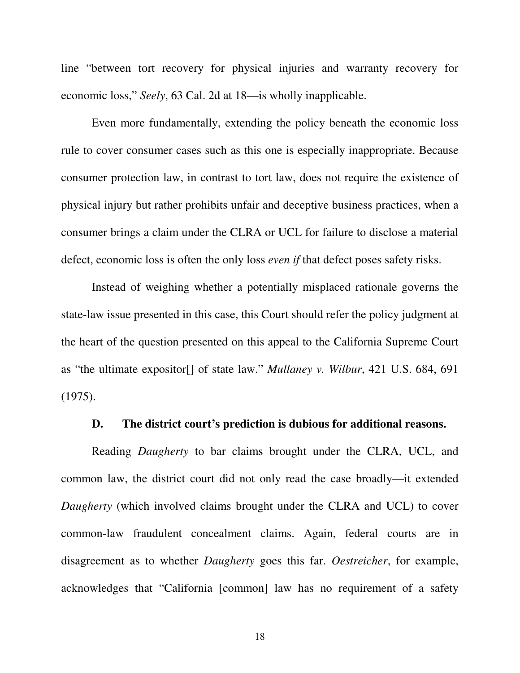line "between tort recovery for physical injuries and warranty recovery for economic loss," *Seely*, 63 Cal. 2d at 18—is wholly inapplicable.

 Even more fundamentally, extending the policy beneath the economic loss rule to cover consumer cases such as this one is especially inappropriate. Because consumer protection law, in contrast to tort law, does not require the existence of physical injury but rather prohibits unfair and deceptive business practices, when a consumer brings a claim under the CLRA or UCL for failure to disclose a material defect, economic loss is often the only loss *even if* that defect poses safety risks.

Instead of weighing whether a potentially misplaced rationale governs the state-law issue presented in this case, this Court should refer the policy judgment at the heart of the question presented on this appeal to the California Supreme Court as "the ultimate expositor[] of state law." *Mullaney v. Wilbur*, 421 U.S. 684, 691 (1975).

#### **D. The district court's prediction is dubious for additional reasons.**

Reading *Daugherty* to bar claims brought under the CLRA, UCL, and common law, the district court did not only read the case broadly—it extended *Daugherty* (which involved claims brought under the CLRA and UCL) to cover common-law fraudulent concealment claims. Again, federal courts are in disagreement as to whether *Daugherty* goes this far. *Oestreicher*, for example, acknowledges that "California [common] law has no requirement of a safety

18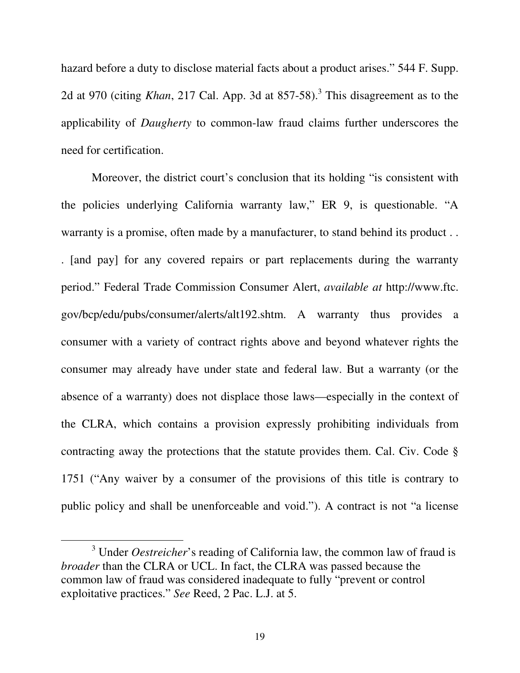hazard before a duty to disclose material facts about a product arises." 544 F. Supp. 2d at 970 (citing *Khan*, 217 Cal. App. 3d at  $857-58$ ).<sup>3</sup> This disagreement as to the applicability of *Daugherty* to common-law fraud claims further underscores the need for certification.

Moreover, the district court's conclusion that its holding "is consistent with the policies underlying California warranty law," ER 9, is questionable. "A warranty is a promise, often made by a manufacturer, to stand behind its product . . . [and pay] for any covered repairs or part replacements during the warranty period." Federal Trade Commission Consumer Alert, *available at* http://www.ftc. gov/bcp/edu/pubs/consumer/alerts/alt192.shtm. A warranty thus provides a consumer with a variety of contract rights above and beyond whatever rights the consumer may already have under state and federal law. But a warranty (or the absence of a warranty) does not displace those laws—especially in the context of the CLRA, which contains a provision expressly prohibiting individuals from contracting away the protections that the statute provides them. Cal. Civ. Code § 1751 ("Any waiver by a consumer of the provisions of this title is contrary to public policy and shall be unenforceable and void."). A contract is not "a license

 $\overline{a}$ 

<sup>&</sup>lt;sup>3</sup> Under *Oestreicher*'s reading of California law, the common law of fraud is *broader* than the CLRA or UCL. In fact, the CLRA was passed because the common law of fraud was considered inadequate to fully "prevent or control exploitative practices." *See* Reed, 2 Pac. L.J. at 5.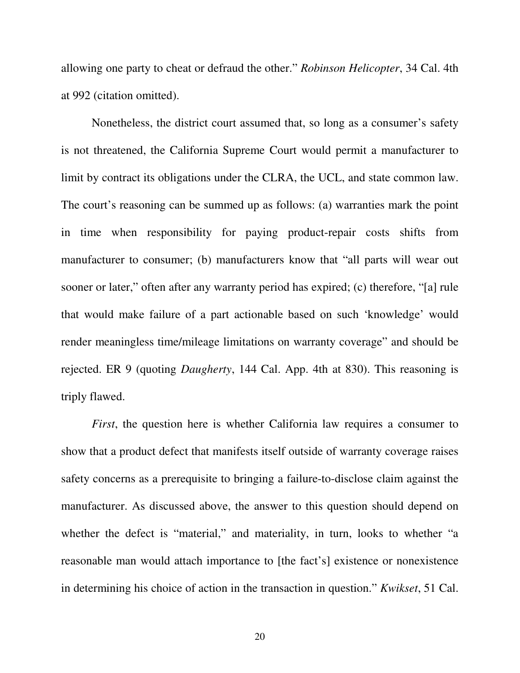allowing one party to cheat or defraud the other." *Robinson Helicopter*, 34 Cal. 4th at 992 (citation omitted).

Nonetheless, the district court assumed that, so long as a consumer's safety is not threatened, the California Supreme Court would permit a manufacturer to limit by contract its obligations under the CLRA, the UCL, and state common law. The court's reasoning can be summed up as follows: (a) warranties mark the point in time when responsibility for paying product-repair costs shifts from manufacturer to consumer; (b) manufacturers know that "all parts will wear out sooner or later," often after any warranty period has expired; (c) therefore, "[a] rule that would make failure of a part actionable based on such 'knowledge' would render meaningless time/mileage limitations on warranty coverage" and should be rejected. ER 9 (quoting *Daugherty*, 144 Cal. App. 4th at 830). This reasoning is triply flawed.

*First*, the question here is whether California law requires a consumer to show that a product defect that manifests itself outside of warranty coverage raises safety concerns as a prerequisite to bringing a failure-to-disclose claim against the manufacturer. As discussed above, the answer to this question should depend on whether the defect is "material," and materiality, in turn, looks to whether "a reasonable man would attach importance to [the fact's] existence or nonexistence in determining his choice of action in the transaction in question." *Kwikset*, 51 Cal.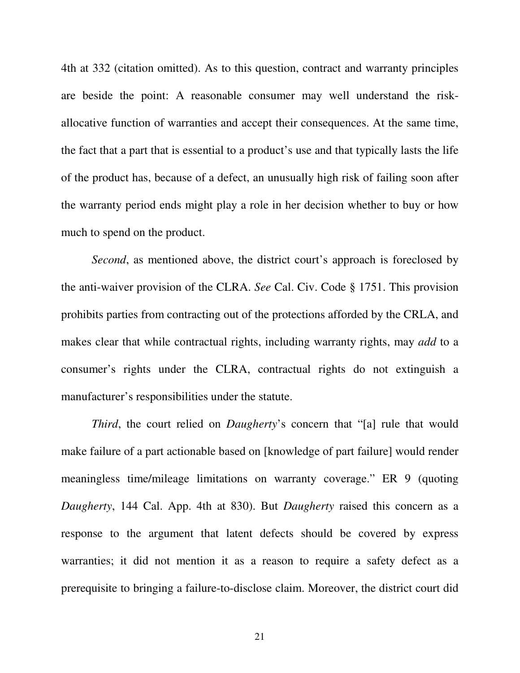4th at 332 (citation omitted). As to this question, contract and warranty principles are beside the point: A reasonable consumer may well understand the riskallocative function of warranties and accept their consequences. At the same time, the fact that a part that is essential to a product's use and that typically lasts the life of the product has, because of a defect, an unusually high risk of failing soon after the warranty period ends might play a role in her decision whether to buy or how much to spend on the product.

*Second*, as mentioned above, the district court's approach is foreclosed by the anti-waiver provision of the CLRA. *See* Cal. Civ. Code § 1751. This provision prohibits parties from contracting out of the protections afforded by the CRLA, and makes clear that while contractual rights, including warranty rights, may *add* to a consumer's rights under the CLRA, contractual rights do not extinguish a manufacturer's responsibilities under the statute.

*Third*, the court relied on *Daugherty*'s concern that "[a] rule that would make failure of a part actionable based on [knowledge of part failure] would render meaningless time/mileage limitations on warranty coverage." ER 9 (quoting *Daugherty*, 144 Cal. App. 4th at 830). But *Daugherty* raised this concern as a response to the argument that latent defects should be covered by express warranties; it did not mention it as a reason to require a safety defect as a prerequisite to bringing a failure-to-disclose claim. Moreover, the district court did

21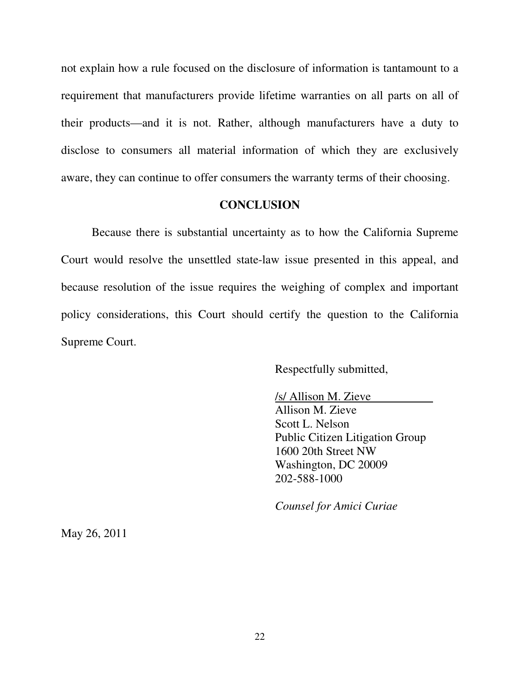not explain how a rule focused on the disclosure of information is tantamount to a requirement that manufacturers provide lifetime warranties on all parts on all of their products—and it is not. Rather, although manufacturers have a duty to disclose to consumers all material information of which they are exclusively aware, they can continue to offer consumers the warranty terms of their choosing.

#### **CONCLUSION**

 Because there is substantial uncertainty as to how the California Supreme Court would resolve the unsettled state-law issue presented in this appeal, and because resolution of the issue requires the weighing of complex and important policy considerations, this Court should certify the question to the California Supreme Court.

Respectfully submitted,

/s/ Allison M. Zieve Allison M. Zieve Scott L. Nelson Public Citizen Litigation Group 1600 20th Street NW Washington, DC 20009 202-588-1000

*Counsel for Amici Curiae*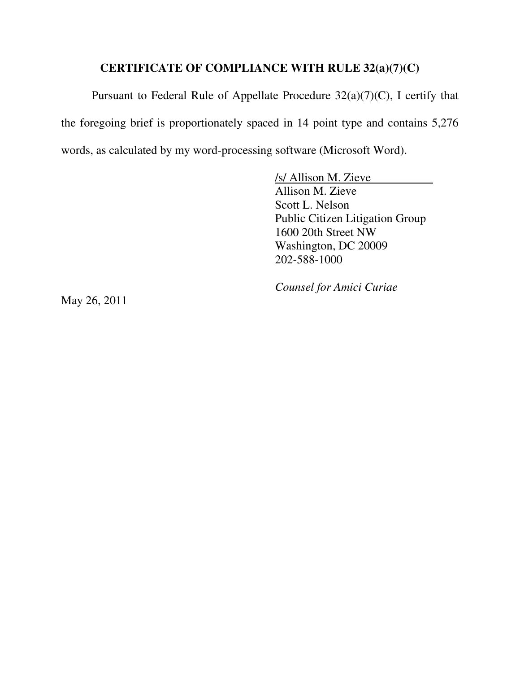## **CERTIFICATE OF COMPLIANCE WITH RULE 32(a)(7)(C)**

Pursuant to Federal Rule of Appellate Procedure 32(a)(7)(C), I certify that the foregoing brief is proportionately spaced in 14 point type and contains 5,276 words, as calculated by my word-processing software (Microsoft Word).

> /s/ Allison M. Zieve Allison M. Zieve Scott L. Nelson Public Citizen Litigation Group 1600 20th Street NW Washington, DC 20009 202-588-1000

*Counsel for Amici Curiae*